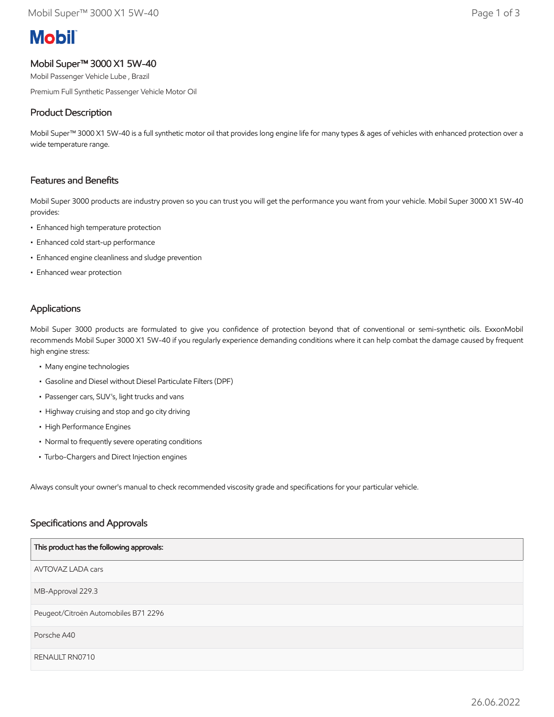# **Mobil**

## Mobil Super™ 3000 X1 5W-40

Mobil Passenger Vehicle Lube , Brazil

Premium Full Synthetic Passenger Vehicle Motor Oil

### Product Description

Mobil Super™ 3000 X1 5W-40 is a full synthetic motor oil that provides long engine life for many types & ages of vehicles with enhanced protection over a wide temperature range.

#### Features and Benefits

Mobil Super 3000 products are industry proven so you can trust you will get the performance you want from your vehicle. Mobil Super 3000 X1 5W-40 provides:

- Enhanced high temperature protection
- Enhanced cold start-up performance
- Enhanced engine cleanliness and sludge prevention
- Enhanced wear protection

#### Applications

Mobil Super 3000 products are formulated to give you confidence of protection beyond that of conventional or semi-synthetic oils. ExxonMobil recommends Mobil Super 3000 X1 5W-40 if you regularly experience demanding conditions where it can help combat the damage caused by frequent high engine stress:

- Many engine technologies
- Gasoline and Diesel without Diesel Particulate Filters (DPF)
- Passenger cars, SUV's, light trucks and vans
- Highway cruising and stop and go city driving
- High Performance Engines
- Normal to frequently severe operating conditions
- Turbo-Chargers and Direct Injection engines

Always consult your owner's manual to check recommended viscosity grade and specifications for your particular vehicle.

#### Specifications and Approvals

| This product has the following approvals: |
|-------------------------------------------|
| <b>AVTOVAZ LADA cars</b>                  |
| MB-Approval 229.3                         |
| Peugeot/Citroën Automobiles B71 2296      |
| Porsche A40                               |
| RENAULT RN0710                            |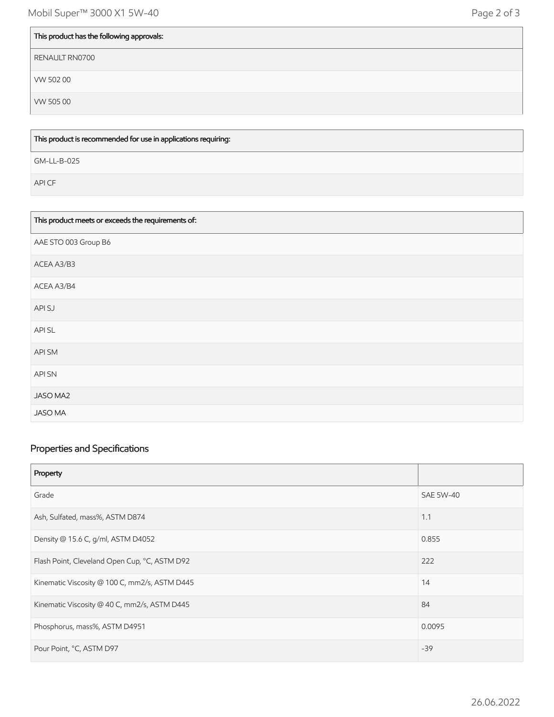| This product has the following approvals: |
|-------------------------------------------|
| RENAULT RN0700                            |
| VW 502 00                                 |
| VW 50500                                  |

This product is recommended for use in applications requiring:

GM-LL-B-025

API CF

| This product meets or exceeds the requirements of: |
|----------------------------------------------------|
| AAE STO 003 Group B6                               |
| ACEA A3/B3                                         |
| ACEA A3/B4                                         |
| API SJ                                             |
| API SL                                             |
| API SM                                             |
| <b>APISN</b>                                       |
| JASO MA2                                           |
| <b>JASO MA</b>                                     |

# Properties and Specifications

| Property                                      |                  |
|-----------------------------------------------|------------------|
| Grade                                         | <b>SAE 5W-40</b> |
| Ash, Sulfated, mass%, ASTM D874               | 1.1              |
| Density @ 15.6 C, g/ml, ASTM D4052            | 0.855            |
| Flash Point, Cleveland Open Cup, °C, ASTM D92 | 222              |
| Kinematic Viscosity @ 100 C, mm2/s, ASTM D445 | 14               |
| Kinematic Viscosity @ 40 C, mm2/s, ASTM D445  | 84               |
| Phosphorus, mass%, ASTM D4951                 | 0.0095           |
| Pour Point, °C, ASTM D97                      | $-39$            |